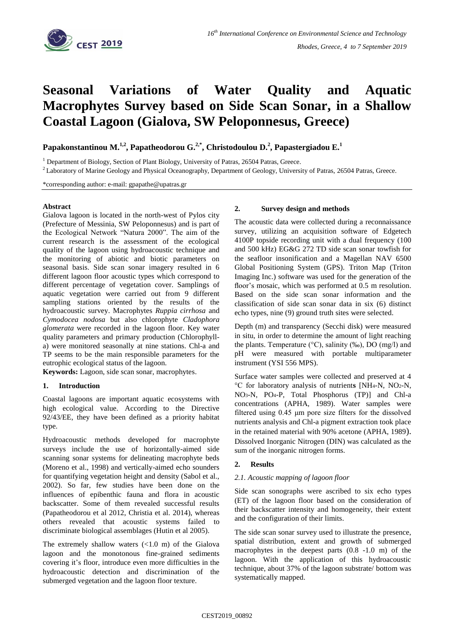

# **Seasonal Variations of Water Quality and Aquatic Macrophytes Survey based on Side Scan Sonar, in a Shallow Coastal Lagoon (Gialova, SW Peloponnesus, Greece)**

**Papakonstantinou M.1,2 , Papatheodorou G.2,\* , Christodoulou D. 2 , Papastergiadou E.<sup>1</sup>**

<sup>1</sup> Department of Biology, Section of Plant Biology, University of Patras, 26504 Patras, Greece.

<sup>2</sup> Laboratory of Marine Geology and Physical Oceanography, Department of Geology, University of Patras, 26504 Patras, Greece.

\*corresponding author: e-mail: gpapathe@upatras.gr

## **Abstract**

Gialova lagoon is located in the north-west of Pylos city (Prefecture of Messinia, SW Peloponnesus) and is part of the Ecological Network "Natura 2000". The aim of the current research is the assessment of the ecological quality of the lagoon using hydroacoustic technique and the monitoring of abiotic and biotic parameters on seasonal basis. Side scan sonar imagery resulted in 6 different lagoon floor acoustic types which correspond to different percentage of vegetation cover. Samplings of aquatic vegetation were carried out from 9 different sampling stations oriented by the results of the hydroacoustic survey. Macrophytes *Ruppia cirrhosa* and *Cymodocea nodosa* but also chlorophyte *Cladophora glomerata* were recorded in the lagoon floor. Key water quality parameters and primary production (Chlorophylla) were monitored seasonally at nine stations. Chl-a and TP seems to be the main responsible parameters for the eutrophic ecological status of the lagoon.

**Keywords:** Lagoon, side scan sonar, macrophytes.

## **1. Introduction**

Coastal lagoons are important aquatic ecosystems with high ecological value. According to the Directive 92/43/EE, they have been defined as a priority habitat type.

Hydroacoustic methods developed for macrophyte surveys include the use of horizontally-aimed side scanning sonar systems for delineating macrophyte beds (Moreno et al., 1998) and vertically-aimed echo sounders for quantifying vegetation height and density (Sabol et al., 2002). So far, few studies have been done on the influences of epibenthic fauna and flora in acoustic backscatter. Some of them revealed successful results (Papatheodorou et al 2012, Christia et al. 2014), whereas others revealed that acoustic systems failed to discriminate biological assemblages (Hutin et al 2005).

The extremely shallow waters  $\left($ <1.0 m) of the Gialova lagoon and the monotonous fine-grained sediments covering it's floor, introduce even more difficulties in the hydroacoustic detection and discrimination of the submerged vegetation and the lagoon floor texture.

#### **2. Survey design and methods**

The acoustic data were collected during a reconnaissance survey, utilizing an acquisition software of Edgetech 4100P topside recording unit with a dual frequency (100 and 500 kHz) EG&G 272 TD side scan sonar towfish for the seafloor insonification and a Magellan NAV 6500 Global Positioning System (GPS). Triton Map (Triton Imaging Inc.) software was used for the generation of the floor's mosaic, which was performed at  $0.5$  m resolution. Based on the side scan sonar information and the classification of side scan sonar data in six (6) distinct echo types, nine (9) ground truth sites were selected.

Depth (m) and transparency (Secchi disk) were measured in situ, in order to determine the amount of light reaching the plants. Temperature ( $\degree$ C), salinity (‰), DO (mg/l) and pH were measured with portable multiparameter instrument (YSI 556 MPS).

Surface water samples were collected and preserved at 4 °C for laboratory analysis of nutrient**s** [NH4-N, NO2-N, NO3-N, PO4-P, Total Phosphorus (TP)] and Chl-a concentrations (APHA, 1989). Water samples were filtered using 0.45 μm pore size filters for the dissolved nutrients analysis and Chl-a pigment extraction took place in the retained material with 90% acetone (APHA, 1989). Dissolved Inorganic Nitrogen (DIN) was calculated as the sum of the inorganic nitrogen forms.

### **2. Results**

### *2.1. Acoustic mapping of lagoon floor*

Side scan sonographs were ascribed to six echo types (ET) of the lagoon floor based on the consideration of their backscatter intensity and homogeneity, their extent and the configuration of their limits.

The side scan sonar survey used to illustrate the presence, spatial distribution, extent and growth of submerged macrophytes in the deepest parts (0.8 -1.0 m) of the lagoon. With the application of this hydroacoustic technique, about 37% of the lagoon substrate/ bottom was systematically mapped.